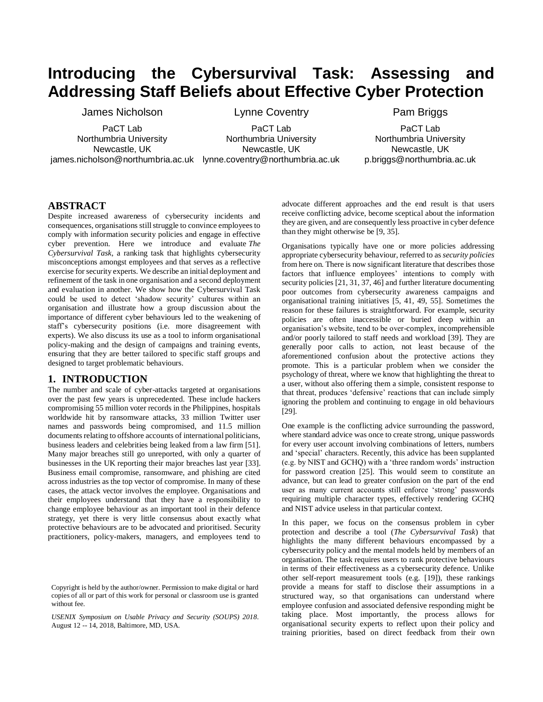# **Introducing the Cybersurvival Task: Assessing and Addressing Staff Beliefs about Effective Cyber Protection**

James Nicholson

PaCT Lab Northumbria University Newcastle, UK james.nicholson@northumbria.ac.uk lynne.coventry@northumbria.ac.uk

PaCT Lab Northumbria University Newcastle, UK

Lynne Coventry

Pam Briggs

PaCT Lab Northumbria University Newcastle, UK p.briggs@northumbria.ac.uk

#### **ABSTRACT**

Despite increased awareness of cybersecurity incidents and consequences, organisations still struggle to convince employees to comply with information security policies and engage in effective cyber prevention. Here we introduce and evaluate *The Cybersurvival Task*, a ranking task that highlights cybersecurity misconceptions amongst employees and that serves as a reflective exercise for security experts. We describe an initial deployment and refinement of the task in one organisation and a second deployment and evaluation in another. We show how the Cybersurvival Task could be used to detect 'shadow security' cultures within an organisation and illustrate how a group discussion about the importance of different cyber behaviours led to the weakening of staff's cybersecurity positions (i.e. more disagreement with experts). We also discuss its use as a tool to inform organisational policy-making and the design of campaigns and training events, ensuring that they are better tailored to specific staff groups and designed to target problematic behaviours.

#### **1. INTRODUCTION**

The number and scale of cyber-attacks targeted at organisations over the past few years is unprecedented. These include hackers compromising 55 million voter records in the Philippines, hospitals worldwide hit by ransomware attacks, 33 million Twitter user names and passwords being compromised, and 11.5 million documents relating to offshore accounts of international politicians, business leaders and celebrities being leaked from a law firm [51]. Many major breaches still go unreported, with only a quarter of businesses in the UK reporting their major breaches last year [33]. Business email compromise, ransomware, and phishing are cited across industries as the top vector of compromise. In many of these cases, the attack vector involves the employee. Organisations and their employees understand that they have a responsibility to change employee behaviour as an important tool in their defence strategy, yet there is very little consensus about exactly what protective behaviours are to be advocated and prioritised. Security practitioners, policy-makers, managers, and employees tend to

*USENIX Symposium on Usable Privacy and Security (SOUPS) 2018*. August 12 -- 14, 2018, Baltimore, MD, USA.

advocate different approaches and the end result is that users receive conflicting advice, become sceptical about the information they are given, and are consequently less proactive in cyber defence than they might otherwise be [9, 35].

Organisations typically have one or more policies addressing appropriate cybersecurity behaviour, referred to as *security policies* from here on. There is now significant literature that describes those factors that influence employees' intentions to comply with security policies [21, 31, 37, 46] and further literature documenting poor outcomes from cybersecurity awareness campaigns and organisational training initiatives [5, 41, 49, 55]. Sometimes the reason for these failures is straightforward. For example, security policies are often inaccessible or buried deep within an organisation's website, tend to be over-complex, incomprehensible and/or poorly tailored to staff needs and workload [39]. They are generally poor calls to action, not least because of the aforementioned confusion about the protective actions they promote. This is a particular problem when we consider the psychology of threat, where we know that highlighting the threat to a user, without also offering them a simple, consistent response to that threat, produces 'defensive' reactions that can include simply ignoring the problem and continuing to engage in old behaviours [29].

One example is the conflicting advice surrounding the password, where standard advice was once to create strong, unique passwords for every user account involving combinations of letters, numbers and 'special' characters. Recently, this advice has been supplanted (e.g. by NIST and GCHQ) with a 'three random words' instruction for password creation [25]. This would seem to constitute an advance, but can lead to greater confusion on the part of the end user as many current accounts still enforce 'strong' passwords requiring multiple character types, effectively rendering GCHQ and NIST advice useless in that particular context.

In this paper, we focus on the consensus problem in cyber protection and describe a tool (*The Cybersurvival Task*) that highlights the many different behaviours encompassed by a cybersecurity policy and the mental models held by members of an organisation. The task requires users to rank protective behaviours in terms of their effectiveness as a cybersecurity defence. Unlike other self-report measurement tools (e.g. [19]), these rankings provide a means for staff to disclose their assumptions in a structured way, so that organisations can understand where employee confusion and associated defensive responding might be taking place. Most importantly, the process allows for organisational security experts to reflect upon their policy and training priorities, based on direct feedback from their own

Copyright is held by the author/owner. Permission to make digital or hard copies of all or part of this work for personal or classroom use is granted without fee.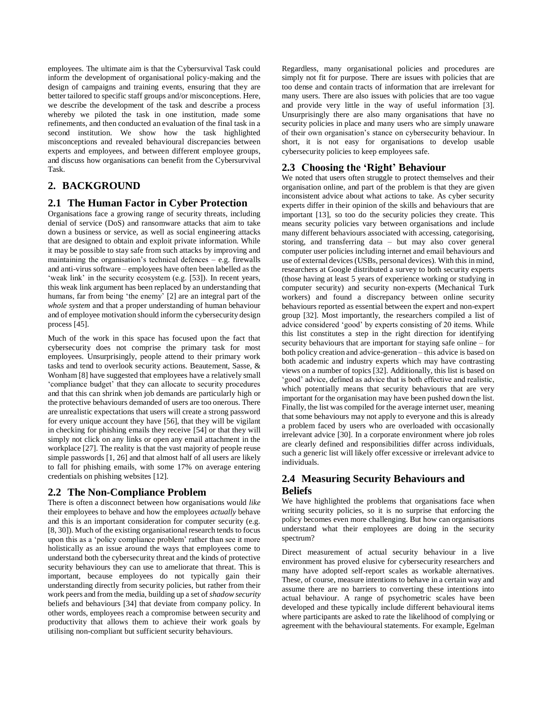employees. The ultimate aim is that the Cybersurvival Task could inform the development of organisational policy-making and the design of campaigns and training events, ensuring that they are better tailored to specific staff groups and/or misconceptions. Here, we describe the development of the task and describe a process whereby we piloted the task in one institution, made some refinements, and then conducted an evaluation of the final task in a second institution. We show how the task highlighted misconceptions and revealed behavioural discrepancies between experts and employees, and between different employee groups, and discuss how organisations can benefit from the Cybersurvival Task.

# **2. BACKGROUND**

### **2.1 The Human Factor in Cyber Protection**

Organisations face a growing range of security threats, including denial of service (DoS) and ransomware attacks that aim to take down a business or service, as well as social engineering attacks that are designed to obtain and exploit private information. While it may be possible to stay safe from such attacks by improving and maintaining the organisation's technical defences – e.g. firewalls and anti-virus software – employees have often been labelled as the 'weak link' in the security ecosystem (e.g. [53]). In recent years, this weak link argument has been replaced by an understanding that humans, far from being 'the enemy' [2] are an integral part of the *whole system* and that a proper understanding of human behaviour and of employee motivation should inform the cybersecurity design process [45].

Much of the work in this space has focused upon the fact that cybersecurity does not comprise the primary task for most employees. Unsurprisingly, people attend to their primary work tasks and tend to overlook security actions. Beautement, Sasse, & Wonham [8] have suggested that employees have a relatively small 'compliance budget' that they can allocate to security procedures and that this can shrink when job demands are particularly high or the protective behaviours demanded of users are too onerous. There are unrealistic expectations that users will create a strong password for every unique account they have [56], that they will be vigilant in checking for phishing emails they receive [54] or that they will simply not click on any links or open any email attachment in the workplace [27]. The reality is that the vast majority of people reuse simple passwords [1, 26] and that almost half of all users are likely to fall for phishing emails, with some 17% on average entering credentials on phishing websites [12].

### **2.2 The Non-Compliance Problem**

There is often a disconnect between how organisations would *like* their employees to behave and how the employees *actually* behave and this is an important consideration for computer security (e.g. [8, 30]). Much of the existing organisational research tends to focus upon this as a 'policy compliance problem' rather than see it more holistically as an issue around the ways that employees come to understand both the cybersecurity threat and the kinds of protective security behaviours they can use to ameliorate that threat. This is important, because employees do not typically gain their understanding directly from security policies, but rather from their work peers and from the media, building up a set of *shadow security*  beliefs and behaviours [34] that deviate from company policy. In other words, employees reach a compromise between security and productivity that allows them to achieve their work goals by utilising non-compliant but sufficient security behaviours.

Regardless, many organisational policies and procedures are simply not fit for purpose. There are issues with policies that are too dense and contain tracts of information that are irrelevant for many users. There are also issues with policies that are too vague and provide very little in the way of useful information [3]. Unsurprisingly there are also many organisations that have no security policies in place and many users who are simply unaware of their own organisation's stance on cybersecurity behaviour. In short, it is not easy for organisations to develop usable cybersecurity policies to keep employees safe.

### **2.3 Choosing the 'Right' Behaviour**

We noted that users often struggle to protect themselves and their organisation online, and part of the problem is that they are given inconsistent advice about what actions to take. As cyber security experts differ in their opinion of the skills and behaviours that are important [13], so too do the security policies they create. This means security policies vary between organisations and include many different behaviours associated with accessing, categorising, storing, and transferring data – but may also cover general computer user policies including internet and email behaviours and use of external devices (USBs, personal devices). With this in mind, researchers at Google distributed a survey to both security experts (those having at least 5 years of experience working or studying in computer security) and security non-experts (Mechanical Turk workers) and found a discrepancy between online security behaviours reported as essential between the expert and non-expert group [32]. Most importantly, the researchers compiled a list of advice considered 'good' by experts consisting of 20 items. While this list constitutes a step in the right direction for identifying security behaviours that are important for staying safe online – for both policy creation and advice-generation – this advice is based on both academic and industry experts which may have contrasting views on a number of topics [32]. Additionally, this list is based on 'good' advice, defined as advice that is both effective and realistic, which potentially means that security behaviours that are very important for the organisation may have been pushed down the list. Finally, the list was compiled for the average internet user, meaning that some behaviours may not apply to everyone and this is already a problem faced by users who are overloaded with occasionally irrelevant advice [30]. In a corporate environment where job roles are clearly defined and responsibilities differ across individuals, such a generic list will likely offer excessive or irrelevant advice to individuals.

# **2.4 Measuring Security Behaviours and Beliefs**

We have highlighted the problems that organisations face when writing security policies, so it is no surprise that enforcing the policy becomes even more challenging. But how can organisations understand what their employees are doing in the security spectrum?

Direct measurement of actual security behaviour in a live environment has proved elusive for cybersecurity researchers and many have adopted self-report scales as workable alternatives. These, of course, measure intentions to behave in a certain way and assume there are no barriers to converting these intentions into actual behaviour. A range of psychometric scales have been developed and these typically include different behavioural items where participants are asked to rate the likelihood of complying or agreement with the behavioural statements. For example, Egelman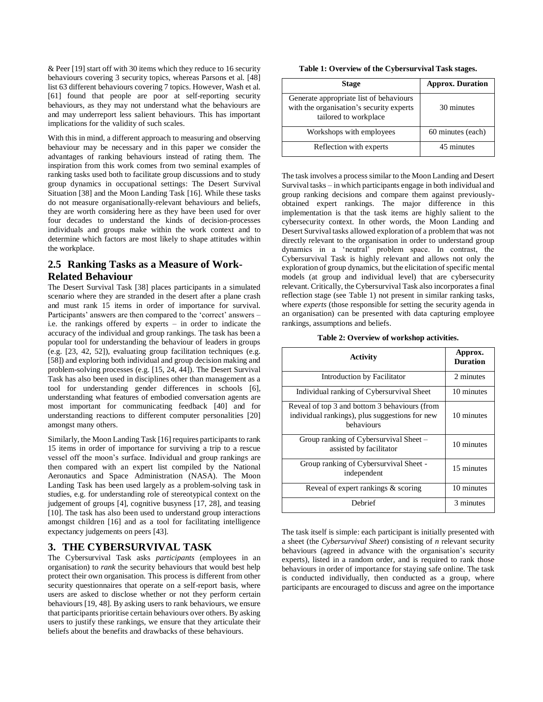& Peer [19] start off with 30 items which they reduce to 16 security behaviours covering 3 security topics, whereas Parsons et al. [48] list 63 different behaviours covering 7 topics. However, Wash et al. [61] found that people are poor at self-reporting security behaviours, as they may not understand what the behaviours are and may underreport less salient behaviours. This has important implications for the validity of such scales.

With this in mind, a different approach to measuring and observing behaviour may be necessary and in this paper we consider the advantages of ranking behaviours instead of rating them. The inspiration from this work comes from two seminal examples of ranking tasks used both to facilitate group discussions and to study group dynamics in occupational settings: The Desert Survival Situation [38] and the Moon Landing Task [16]. While these tasks do not measure organisationally-relevant behaviours and beliefs, they are worth considering here as they have been used for over four decades to understand the kinds of decision-processes individuals and groups make within the work context and to determine which factors are most likely to shape attitudes within the workplace.

### **2.5 Ranking Tasks as a Measure of Work-Related Behaviour**

The Desert Survival Task [38] places participants in a simulated scenario where they are stranded in the desert after a plane crash and must rank 15 items in order of importance for survival. Participants' answers are then compared to the 'correct' answers – i.e. the rankings offered by experts – in order to indicate the accuracy of the individual and group rankings. The task has been a popular tool for understanding the behaviour of leaders in groups (e.g. [23, 42, 52]), evaluating group facilitation techniques (e.g. [58]) and exploring both individual and group decision making and problem-solving processes (e.g. [15, 24, 44]). The Desert Survival Task has also been used in disciplines other than management as a tool for understanding gender differences in schools [6], understanding what features of embodied conversation agents are most important for communicating feedback [40] and for understanding reactions to different computer personalities [20] amongst many others.

Similarly, the Moon Landing Task [16] requires participants to rank 15 items in order of importance for surviving a trip to a rescue vessel off the moon's surface. Individual and group rankings are then compared with an expert list compiled by the National Aeronautics and Space Administration (NASA). The Moon Landing Task has been used largely as a problem-solving task in studies, e.g. for understanding role of stereotypical context on the judgement of groups [4], cognitive busyness [17, 28], and teasing [10]. The task has also been used to understand group interactions amongst children [16] and as a tool for facilitating intelligence expectancy judgements on peers [43].

### **3. THE CYBERSURVIVAL TASK**

The Cybersurvival Task asks *participants* (employees in an organisation) to *rank* the security behaviours that would best help protect their own organisation. This process is different from other security questionnaires that operate on a self-report basis, where users are asked to disclose whether or not they perform certain behaviours [19, 48]. By asking users to rank behaviours, we ensure that participants prioritise certain behaviours over others. By asking users to justify these rankings, we ensure that they articulate their beliefs about the benefits and drawbacks of these behaviours.

| Table 1: Overview of the Cybersurvival Task stages. |  |
|-----------------------------------------------------|--|
|-----------------------------------------------------|--|

| <b>Stage</b>                                                                                                 | <b>Approx. Duration</b> |
|--------------------------------------------------------------------------------------------------------------|-------------------------|
| Generate appropriate list of behaviours<br>with the organisation's security experts<br>tailored to workplace | 30 minutes              |
| Workshops with employees                                                                                     | 60 minutes (each)       |
| Reflection with experts                                                                                      | 45 minutes              |

The task involves a process similar to the Moon Landing and Desert Survival tasks – in which participants engage in both individual and group ranking decisions and compare them against previouslyobtained expert rankings. The major difference in this implementation is that the task items are highly salient to the cybersecurity context. In other words, the Moon Landing and Desert Survival tasks allowed exploration of a problem that was not directly relevant to the organisation in order to understand group dynamics in a 'neutral' problem space. In contrast, the Cybersurvival Task is highly relevant and allows not only the exploration of group dynamics, but the elicitation of specific mental models (at group and individual level) that are cybersecurity relevant. Critically, the Cybersurvival Task also incorporates a final reflection stage (see Table 1) not present in similar ranking tasks, where *experts* (those responsible for setting the security agenda in an organisation) can be presented with data capturing employee rankings, assumptions and beliefs.

**Table 2: Overview of workshop activities.**

| Activity                                                                                                      | Approx.<br><b>Duration</b> |
|---------------------------------------------------------------------------------------------------------------|----------------------------|
| Introduction by Facilitator                                                                                   | 2 minutes                  |
| Individual ranking of Cybersurvival Sheet                                                                     | 10 minutes                 |
| Reveal of top 3 and bottom 3 behaviours (from<br>individual rankings), plus suggestions for new<br>behaviours | 10 minutes                 |
| Group ranking of Cybersurvival Sheet -<br>assisted by facilitator                                             | 10 minutes                 |
| Group ranking of Cybersurvival Sheet -<br>independent                                                         | 15 minutes                 |
| Reveal of expert rankings & scoring                                                                           | 10 minutes                 |
| Debrief                                                                                                       | 3 minutes                  |

The task itself is simple: each participant is initially presented with a sheet (the *Cybersurvival Sheet*) consisting of *n* relevant security behaviours (agreed in advance with the organisation's security experts), listed in a random order, and is required to rank those behaviours in order of importance for staying safe online. The task is conducted individually, then conducted as a group, where participants are encouraged to discuss and agree on the importance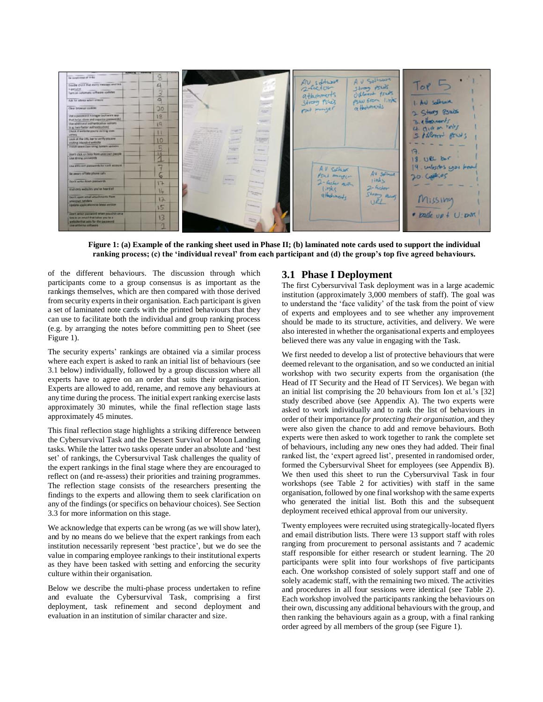

**Figure 1: (a) Example of the ranking sheet used in Phase II; (b) laminated note cards used to support the individual ranking process; (c) the 'individual reveal' from each participant and (d) the group's top five agreed behaviours.**

of the different behaviours. The discussion through which participants come to a group consensus is as important as the rankings themselves, which are then compared with those derived from security experts in their organisation. Each participant is given a set of laminated note cards with the printed behaviours that they can use to facilitate both the individual and group ranking process (e.g. by arranging the notes before committing pen to Sheet (see Figure 1).

The security experts' rankings are obtained via a similar process where each expert is asked to rank an initial list of behaviours (see 3.1 below) individually, followed by a group discussion where all experts have to agree on an order that suits their organisation. Experts are allowed to add, rename, and remove any behaviours at any time during the process. The initial expert ranking exercise lasts approximately 30 minutes, while the final reflection stage lasts approximately 45 minutes.

This final reflection stage highlights a striking difference between the Cybersurvival Task and the Dessert Survival or Moon Landing tasks. While the latter two tasks operate under an absolute and 'best set' of rankings, the Cybersurvival Task challenges the quality of the expert rankings in the final stage where they are encouraged to reflect on (and re-assess) their priorities and training programmes. The reflection stage consists of the researchers presenting the findings to the experts and allowing them to seek clarification on any of the findings (or specifics on behaviour choices). See Section 3.3 for more information on this stage.

We acknowledge that experts can be wrong (as we will show later), and by no means do we believe that the expert rankings from each institution necessarily represent 'best practice', but we do see the value in comparing employee rankings to their institutional experts as they have been tasked with setting and enforcing the security culture within their organisation.

Below we describe the multi-phase process undertaken to refine and evaluate the Cybersurvival Task, comprising a first deployment, task refinement and second deployment and evaluation in an institution of similar character and size.

#### **3.1 Phase I Deployment**

The first Cybersurvival Task deployment was in a large academic institution (approximately 3,000 members of staff). The goal was to understand the 'face validity' of the task from the point of view of experts and employees and to see whether any improvement should be made to its structure, activities, and delivery. We were also interested in whether the organisational experts and employees believed there was any value in engaging with the Task.

We first needed to develop a list of protective behaviours that were deemed relevant to the organisation, and so we conducted an initial workshop with two security experts from the organisation (the Head of IT Security and the Head of IT Services). We began with an initial list comprising the 20 behaviours from Ion et al.'s [32] study described above (see Appendix A). The two experts were asked to work individually and to rank the list of behaviours in order of their importance *for protecting their organisation*, and they were also given the chance to add and remove behaviours. Both experts were then asked to work together to rank the complete set of behaviours, including any new ones they had added. Their final ranked list, the 'expert agreed list', presented in randomised order, formed the Cybersurvival Sheet for employees (see Appendix B). We then used this sheet to run the Cybersurvival Task in four workshops (see Table 2 for activities) with staff in the same organisation, followed by one final workshop with the same experts who generated the initial list. Both this and the subsequent deployment received ethical approval from our university.

Twenty employees were recruited using strategically-located flyers and email distribution lists. There were 13 support staff with roles ranging from procurement to personal assistants and 7 academic staff responsible for either research or student learning. The 20 participants were split into four workshops of five participants each. One workshop consisted of solely support staff and one of solely academic staff, with the remaining two mixed. The activities and procedures in all four sessions were identical (see Table 2). Each workshop involved the participants ranking the behaviours on their own, discussing any additional behaviours with the group, and then ranking the behaviours again as a group, with a final ranking order agreed by all members of the group (see Figure 1).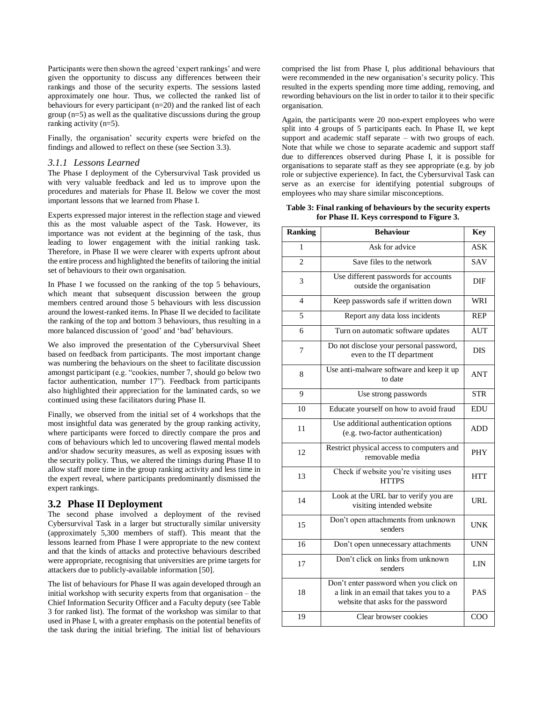Participants were then shown the agreed 'expert rankings' and were given the opportunity to discuss any differences between their rankings and those of the security experts. The sessions lasted approximately one hour. Thus, we collected the ranked list of behaviours for every participant (n=20) and the ranked list of each group (n=5) as well as the qualitative discussions during the group ranking activity (n=5).

Finally, the organisation' security experts were briefed on the findings and allowed to reflect on these (see Section 3.3).

#### *3.1.1 Lessons Learned*

The Phase I deployment of the Cybersurvival Task provided us with very valuable feedback and led us to improve upon the procedures and materials for Phase II. Below we cover the most important lessons that we learned from Phase I.

Experts expressed major interest in the reflection stage and viewed this as the most valuable aspect of the Task. However, its importance was not evident at the beginning of the task, thus leading to lower engagement with the initial ranking task. Therefore, in Phase II we were clearer with experts upfront about the entire process and highlighted the benefits of tailoring the initial set of behaviours to their own organisation.

In Phase I we focussed on the ranking of the top 5 behaviours, which meant that subsequent discussion between the group members centred around those 5 behaviours with less discussion around the lowest-ranked items. In Phase II we decided to facilitate the ranking of the top and bottom 3 behaviours, thus resulting in a more balanced discussion of 'good' and 'bad' behaviours.

We also improved the presentation of the Cybersurvival Sheet based on feedback from participants. The most important change was numbering the behaviours on the sheet to facilitate discussion amongst participant (e.g. "cookies, number 7, should go below two factor authentication, number 17"). Feedback from participants also highlighted their appreciation for the laminated cards, so we continued using these facilitators during Phase II.

Finally, we observed from the initial set of 4 workshops that the most insightful data was generated by the group ranking activity, where participants were forced to directly compare the pros and cons of behaviours which led to uncovering flawed mental models and/or shadow security measures, as well as exposing issues with the security policy. Thus, we altered the timings during Phase II to allow staff more time in the group ranking activity and less time in the expert reveal, where participants predominantly dismissed the expert rankings.

#### **3.2 Phase II Deployment**

The second phase involved a deployment of the revised Cybersurvival Task in a larger but structurally similar university (approximately 5,300 members of staff). This meant that the lessons learned from Phase I were appropriate to the new context and that the kinds of attacks and protective behaviours described were appropriate, recognising that universities are prime targets for attackers due to publicly-available information [50].

The list of behaviours for Phase II was again developed through an initial workshop with security experts from that organisation – the Chief Information Security Officer and a Faculty deputy (see Table 3 for ranked list). The format of the workshop was similar to that used in Phase I, with a greater emphasis on the potential benefits of the task during the initial briefing. The initial list of behaviours

comprised the list from Phase I, plus additional behaviours that were recommended in the new organisation's security policy. This resulted in the experts spending more time adding, removing, and rewording behaviours on the list in order to tailor it to their specific organisation.

Again, the participants were 20 non-expert employees who were split into 4 groups of 5 participants each. In Phase II, we kept support and academic staff separate – with two groups of each. Note that while we chose to separate academic and support staff due to differences observed during Phase I, it is possible for organisations to separate staff as they see appropriate (e.g. by job role or subjective experience). In fact, the Cybersurvival Task can serve as an exercise for identifying potential subgroups of employees who may share similar misconceptions.

#### **Table 3: Final ranking of behaviours by the security experts for Phase II. Keys correspond to Figure 3.**

| <b>Ranking</b> | <b>Behaviour</b>                                                                                                       | <b>Key</b> |
|----------------|------------------------------------------------------------------------------------------------------------------------|------------|
| 1              | Ask for advice                                                                                                         | ASK        |
| $\overline{2}$ | Save files to the network                                                                                              | <b>SAV</b> |
| 3              | Use different passwords for accounts<br>outside the organisation                                                       | DIF        |
| $\overline{4}$ | Keep passwords safe if written down                                                                                    | WRI        |
| 5              | Report any data loss incidents                                                                                         | <b>REP</b> |
| 6              | Turn on automatic software updates                                                                                     | <b>AUT</b> |
| 7              | Do not disclose your personal password,<br>even to the IT department                                                   | <b>DIS</b> |
| 8              | Use anti-malware software and keep it up<br>to date                                                                    | <b>ANT</b> |
| 9              | Use strong passwords                                                                                                   | <b>STR</b> |
| 10             | Educate yourself on how to avoid fraud                                                                                 | <b>EDU</b> |
| 11             | Use additional authentication options<br>(e.g. two-factor authentication)                                              | <b>ADD</b> |
| 12             | Restrict physical access to computers and<br>removable media                                                           | <b>PHY</b> |
| 13             | Check if website you're visiting uses<br><b>HTTPS</b>                                                                  | <b>HTT</b> |
| 14             | Look at the URL bar to verify you are<br>visiting intended website                                                     | <b>URL</b> |
| 15             | Don't open attachments from unknown<br>senders                                                                         | <b>UNK</b> |
| 16             | Don't open unnecessary attachments                                                                                     | <b>UNN</b> |
| 17             | Don't click on links from unknown<br>senders                                                                           | LIN        |
| 18             | Don't enter password when you click on<br>a link in an email that takes you to a<br>website that asks for the password | <b>PAS</b> |
| 19             | Clear browser cookies                                                                                                  | COO        |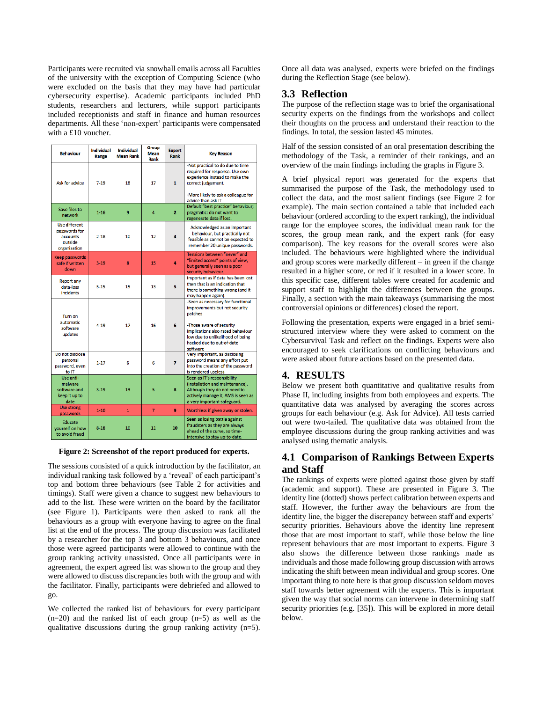Participants were recruited via snowball emails across all Faculties of the university with the exception of Computing Science (who were excluded on the basis that they may have had particular cybersecurity expertise). Academic participants included PhD students, researchers and lecturers, while support participants included receptionists and staff in finance and human resources departments. All these 'non-expert' participants were compensated with a £10 voucher.

| <b>Behaviour</b>                                                             | Individual<br>Range | <b>Individual</b><br><b>Mean Rank</b> | Group<br><b>Mean</b><br>Rank | <b>Expert</b><br>Rank   | <b>Key Reason</b>                                                                                                                                                                                                           |
|------------------------------------------------------------------------------|---------------------|---------------------------------------|------------------------------|-------------------------|-----------------------------------------------------------------------------------------------------------------------------------------------------------------------------------------------------------------------------|
| Ask for advice                                                               | $7 - 19$            | 18                                    | 17                           | $\mathbf{1}$            | -Not practical to do due to time<br>required for response. Use own<br>experience instead to make the<br>correct judgement.<br>-More likely to ask a colleague for<br>advice than ask IT                                     |
| Save files to<br>network                                                     | $1 - 16$            | 9                                     | $\overline{4}$               | $\overline{2}$          | Default "best practice" behaviour;<br>pragmatic: do not want to<br>regenerate data if lost.                                                                                                                                 |
| <b>Use different</b><br>passwords for<br>accounts<br>outside<br>organisation | $2 - 18$            | 10                                    | 12                           | $\overline{\mathbf{3}}$ | Acknowledged as an important<br>behaviour, but practically not<br>feasible as cannot be expected to<br>remember 20 unique passwords.                                                                                        |
| <b>Keep passwords</b><br>safe if written<br>down                             | $3-19$              | 8                                     | 15                           | 4                       | Tensions between "never" and<br>"limited access" points of view,<br>but generally seen as a poor<br>security behaviour.                                                                                                     |
| <b>Report any</b><br>data-loss<br><b>incidents</b>                           | $5 - 15$            | 15                                    | 13                           | 5                       | Important as if data has been lost<br>then that is an indication that<br>there is something wrong (and it<br>may happen again).                                                                                             |
| Turn on<br>automatic<br>software<br>updates                                  | 4-19                | 17                                    | 16                           | 6                       | -Seen as necessary for functional<br>improvements but not security<br>patches<br>-Those aware of security<br>implications also rated behaviour<br>low due to unlikelihood of being<br>hacked due to out-of-date<br>software |
| Do not disclose<br>personal<br>password, even<br>to IT                       | $1 - 17$            | 6                                     | 6                            | $\overline{z}$          | Very important, as disclosing<br>password means any effort put<br>into the creation of the password<br>is rendered useless.                                                                                                 |
| Use anti-<br>malware<br>software and<br>keep it up to<br>date                | $3 - 19$            | 13                                    | 5                            | 8                       | Seen as IT's responsibility<br>(installation and maintenance).<br>Although they do not need to<br>actively manage it, AMS is seen as<br>a very important safeguard.                                                         |
| <b>Use strong</b><br>passwords                                               | $1 - 10$            | $\mathbf{1}$                          | $\overline{7}$               | 9                       | Worthless if given away or stolen.                                                                                                                                                                                          |
| Educate<br>vourself on how<br>to avoid fraud                                 | $8 - 18$            | 16                                    | 11                           | 10                      | Seen as losing battle against<br>fraudsters as they are always<br>ahead of the curve, so time-<br>intensive to stay up-to-date.                                                                                             |

**Figure 2: Screenshot of the report produced for experts.**

The sessions consisted of a quick introduction by the facilitator, an individual ranking task followed by a 'reveal' of each participant's top and bottom three behaviours (see Table 2 for activities and timings). Staff were given a chance to suggest new behaviours to add to the list. These were written on the board by the facilitator (see Figure 1). Participants were then asked to rank all the behaviours as a group with everyone having to agree on the final list at the end of the process. The group discussion was facilitated by a researcher for the top 3 and bottom 3 behaviours, and once those were agreed participants were allowed to continue with the group ranking activity unassisted. Once all participants were in agreement, the expert agreed list was shown to the group and they were allowed to discuss discrepancies both with the group and with the facilitator. Finally, participants were debriefed and allowed to go.

We collected the ranked list of behaviours for every participant  $(n=20)$  and the ranked list of each group  $(n=5)$  as well as the qualitative discussions during the group ranking activity (n=5).

Once all data was analysed, experts were briefed on the findings during the Reflection Stage (see below).

#### **3.3 Reflection**

The purpose of the reflection stage was to brief the organisational security experts on the findings from the workshops and collect their thoughts on the process and understand their reaction to the findings. In total, the session lasted 45 minutes.

Half of the session consisted of an oral presentation describing the methodology of the Task, a reminder of their rankings, and an overview of the main findings including the graphs in Figure 3.

A brief physical report was generated for the experts that summarised the purpose of the Task, the methodology used to collect the data, and the most salient findings (see Figure 2 for example). The main section contained a table that included each behaviour (ordered according to the expert ranking), the individual range for the employee scores, the individual mean rank for the scores, the group mean rank, and the expert rank (for easy comparison). The key reasons for the overall scores were also included. The behaviours were highlighted where the individual and group scores were markedly different – in green if the change resulted in a higher score, or red if it resulted in a lower score. In this specific case, different tables were created for academic and support staff to highlight the differences between the groups. Finally, a section with the main takeaways (summarising the most controversial opinions or differences) closed the report.

Following the presentation, experts were engaged in a brief semistructured interview where they were asked to comment on the Cybersurvival Task and reflect on the findings. Experts were also encouraged to seek clarifications on conflicting behaviours and were asked about future actions based on the presented data.

### **4. RESULTS**

Below we present both quantitative and qualitative results from Phase II, including insights from both employees and experts. The quantitative data was analysed by averaging the scores across groups for each behaviour (e.g. Ask for Advice). All tests carried out were two-tailed. The qualitative data was obtained from the employee discussions during the group ranking activities and was analysed using thematic analysis.

## **4.1 Comparison of Rankings Between Experts and Staff**

The rankings of experts were plotted against those given by staff (academic and support). These are presented in Figure 3. The identity line (dotted) shows perfect calibration between experts and staff. However, the further away the behaviours are from the identity line, the bigger the discrepancy between staff and experts' security priorities. Behaviours above the identity line represent those that are most important to staff, while those below the line represent behaviours that are most important to experts. Figure 3 also shows the difference between those rankings made as individuals and those made following group discussion with arrows indicating the shift between mean individual and group scores. One important thing to note here is that group discussion seldom moves staff towards better agreement with the experts. This is important given the way that social norms can intervene in determining staff security priorities (e.g. [35]). This will be explored in more detail below.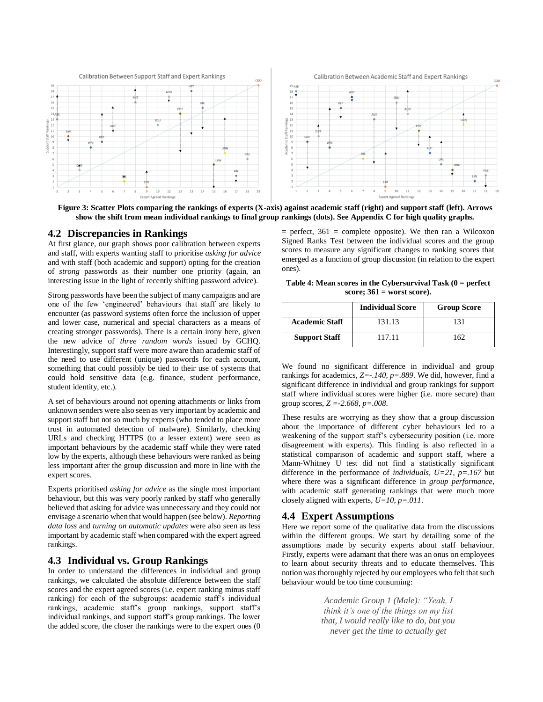

**Figure 3: Scatter Plots comparing the rankings of experts (X-axis) against academic staff (right) and support staff (left). Arrows show the shift from mean individual rankings to final group rankings (dots). See Appendix C for high quality graphs.**

#### **4.2 Discrepancies in Rankings**

At first glance, our graph shows poor calibration between experts and staff, with experts wanting staff to prioritise *asking for advice* and with staff (both academic and support) opting for the creation of *strong* passwords as their number one priority (again, an interesting issue in the light of recently shifting password advice).

Strong passwords have been the subject of many campaigns and are one of the few 'engineered' behaviours that staff are likely to encounter (as password systems often force the inclusion of upper and lower case, numerical and special characters as a means of creating stronger passwords). There is a certain irony here, given the new advice of *three random words* issued by GCHQ. Interestingly, support staff were more aware than academic staff of the need to use different (unique) passwords for each account, something that could possibly be tied to their use of systems that could hold sensitive data (e.g. finance, student performance, student identity, etc.).

A set of behaviours around not opening attachments or links from unknown senders were also seen as very important by academic and support staff but not so much by experts (who tended to place more trust in automated detection of malware). Similarly, checking URLs and checking HTTPS (to a lesser extent) were seen as important behaviours by the academic staff while they were rated low by the experts, although these behaviours were ranked as being less important after the group discussion and more in line with the expert scores.

Experts prioritised *asking for advice* as the single most important behaviour, but this was very poorly ranked by staff who generally believed that asking for advice was unnecessary and they could not envisage a scenario when that would happen (see below). *Reporting data loss* and *turning on automatic updates* were also seen as less important by academic staff when compared with the expert agreed rankings.

#### **4.3 Individual vs. Group Rankings**

In order to understand the differences in individual and group rankings, we calculated the absolute difference between the staff scores and the expert agreed scores (i.e. expert ranking minus staff ranking) for each of the subgroups: academic staff's individual rankings, academic staff's group rankings, support staff's individual rankings, and support staff's group rankings. The lower the added score, the closer the rankings were to the expert ones (0

 $=$  perfect, 361  $=$  complete opposite). We then ran a Wilcoxon Signed Ranks Test between the individual scores and the group scores to measure any significant changes to ranking scores that emerged as a function of group discussion (in relation to the expert ones).

**Table 4: Mean scores in the Cybersurvival Task (0 = perfect score; 361 = worst score).**

|                       | <b>Individual Score</b> | <b>Group Score</b> |
|-----------------------|-------------------------|--------------------|
| <b>Academic Staff</b> | 131.13                  | 131                |
| <b>Support Staff</b>  | 117.11                  | 162                |

We found no significant difference in individual and group rankings for academics*, Z=-.140, p=.889*. We did, however, find a significant difference in individual and group rankings for support staff where individual scores were higher (i.e. more secure) than group scores, *Z =-2.668, p=.008*.

These results are worrying as they show that a group discussion about the importance of different cyber behaviours led to a weakening of the support staff's cybersecurity position (i.e. more disagreement with experts). This finding is also reflected in a statistical comparison of academic and support staff, where a Mann-Whitney U test did not find a statistically significant difference in the performance of *individuals*, *U=21, p=.167* but where there was a significant difference in *group performance*, with academic staff generating rankings that were much more closely aligned with experts, *U=10, p=.011*.

#### **4.4 Expert Assumptions**

Here we report some of the qualitative data from the discussions within the different groups. We start by detailing some of the assumptions made by security experts about staff behaviour. Firstly, experts were adamant that there was an onus on employees to learn about security threats and to educate themselves. This notion was thoroughly rejected by our employees who felt that such behaviour would be too time consuming:

> *Academic Group 1 (Male): "Yeah, I think it's one of the things on my list that, I would really like to do, but you never get the time to actually get*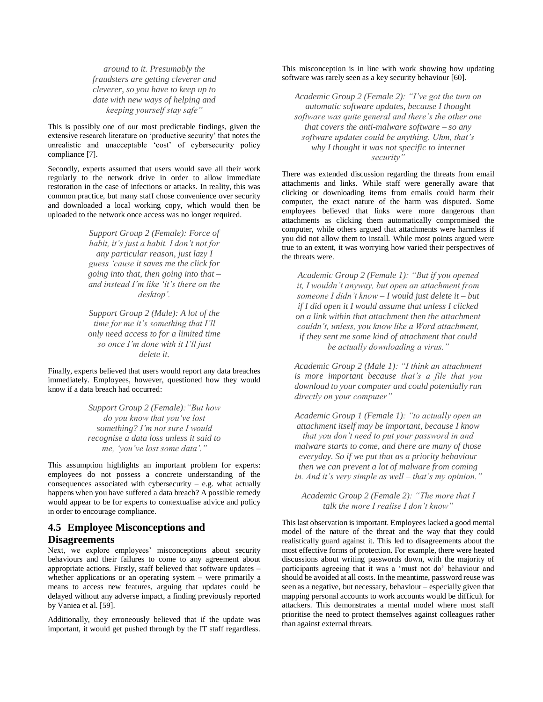*around to it. Presumably the fraudsters are getting cleverer and cleverer, so you have to keep up to date with new ways of helping and keeping yourself stay safe"*

This is possibly one of our most predictable findings, given the extensive research literature on 'productive security' that notes the unrealistic and unacceptable 'cost' of cybersecurity policy compliance [7].

Secondly, experts assumed that users would save all their work regularly to the network drive in order to allow immediate restoration in the case of infections or attacks. In reality, this was common practice, but many staff chose convenience over security and downloaded a local working copy, which would then be uploaded to the network once access was no longer required.

> *Support Group 2 (Female): Force of habit, it's just a habit. I don't not for any particular reason, just lazy I guess 'cause it saves me the click for going into that, then going into that – and instead I'm like 'it's there on the desktop'.*

> *Support Group 2 (Male): A lot of the time for me it's something that I'll only need access to for a limited time so once I'm done with it I'll just delete it.*

Finally, experts believed that users would report any data breaches immediately. Employees, however, questioned how they would know if a data breach had occurred:

> *Support Group 2 (Female):"But how do you know that you've lost something? I'm not sure I would recognise a data loss unless it said to me, 'you've lost some data'."*

This assumption highlights an important problem for experts: employees do not possess a concrete understanding of the consequences associated with cybersecurity – e.g. what actually happens when you have suffered a data breach? A possible remedy would appear to be for experts to contextualise advice and policy in order to encourage compliance.

### **4.5 Employee Misconceptions and Disagreements**

Next, we explore employees' misconceptions about security behaviours and their failures to come to any agreement about appropriate actions. Firstly, staff believed that software updates – whether applications or an operating system – were primarily a means to access new features, arguing that updates could be delayed without any adverse impact, a finding previously reported by Vaniea et al. [59].

Additionally, they erroneously believed that if the update was important, it would get pushed through by the IT staff regardless.

#### This misconception is in line with work showing how updating software was rarely seen as a key security behaviour [60].

*Academic Group 2 (Female 2): "I've got the turn on automatic software updates, because I thought software was quite general and there's the other one that covers the anti-malware software – so any software updates could be anything. Uhm, that's why I thought it was not specific to internet security"*

There was extended discussion regarding the threats from email attachments and links. While staff were generally aware that clicking or downloading items from emails could harm their computer, the exact nature of the harm was disputed. Some employees believed that links were more dangerous than attachments as clicking them automatically compromised the computer, while others argued that attachments were harmless if you did not allow them to install. While most points argued were true to an extent, it was worrying how varied their perspectives of the threats were.

*Academic Group 2 (Female 1): "But if you opened it, I wouldn't anyway, but open an attachment from someone I didn't know – I would just delete it – but if I did open it I would assume that unless I clicked on a link within that attachment then the attachment couldn't, unless, you know like a Word attachment, if they sent me some kind of attachment that could be actually downloading a virus."*

*Academic Group 2 (Male 1): "I think an attachment is more important because that's a file that you download to your computer and could potentially run directly on your computer"*

*Academic Group 1 (Female 1): "to actually open an attachment itself may be important, because I know that you don't need to put your password in and malware starts to come, and there are many of those everyday. So if we put that as a priority behaviour then we can prevent a lot of malware from coming in. And it's very simple as well – that's my opinion."*

*Academic Group 2 (Female 2): "The more that I talk the more I realise I don't know"*

This last observation is important. Employees lacked a good mental model of the nature of the threat and the way that they could realistically guard against it. This led to disagreements about the most effective forms of protection. For example, there were heated discussions about writing passwords down, with the majority of participants agreeing that it was a 'must not do' behaviour and should be avoided at all costs. In the meantime, password reuse was seen as a negative, but necessary, behaviour – especially given that mapping personal accounts to work accounts would be difficult for attackers. This demonstrates a mental model where most staff prioritise the need to protect themselves against colleagues rather than against external threats.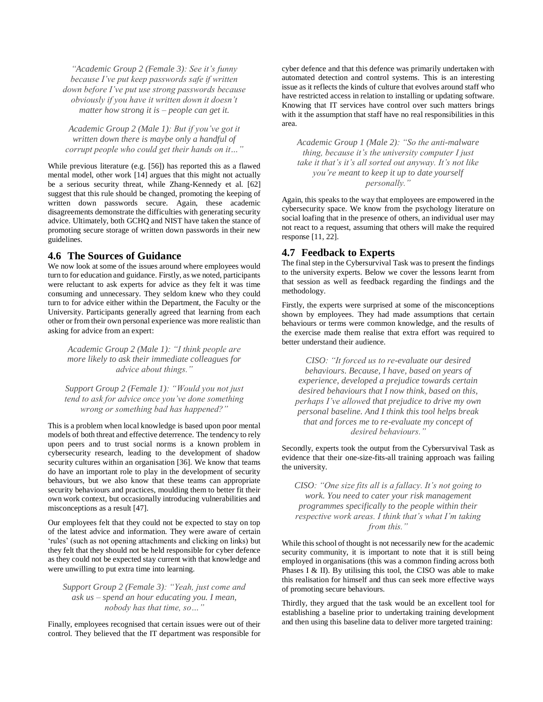*"Academic Group 2 (Female 3): See it's funny because I've put keep passwords safe if written down before I've put use strong passwords because obviously if you have it written down it doesn't matter how strong it is – people can get it.*

*Academic Group 2 (Male 1): But if you've got it written down there is maybe only a handful of corrupt people who could get their hands on it…"*

While previous literature (e.g. [56]) has reported this as a flawed mental model, other work [14] argues that this might not actually be a serious security threat, while Zhang-Kennedy et al. [62] suggest that this rule should be changed, promoting the keeping of written down passwords secure. Again, these academic disagreements demonstrate the difficulties with generating security advice. Ultimately, both GCHQ and NIST have taken the stance of promoting secure storage of written down passwords in their new guidelines.

#### **4.6 The Sources of Guidance**

We now look at some of the issues around where employees would turn to for education and guidance. Firstly, as we noted, participants were reluctant to ask experts for advice as they felt it was time consuming and unnecessary. They seldom knew who they could turn to for advice either within the Department, the Faculty or the University. Participants generally agreed that learning from each other or from their own personal experience was more realistic than asking for advice from an expert:

*Academic Group 2 (Male 1): "I think people are more likely to ask their immediate colleagues for advice about things."*

*Support Group 2 (Female 1): "Would you not just tend to ask for advice once you've done something wrong or something bad has happened?"*

This is a problem when local knowledge is based upon poor mental models of both threat and effective deterrence. The tendency to rely upon peers and to trust social norms is a known problem in cybersecurity research, leading to the development of shadow security cultures within an organisation [36]. We know that teams do have an important role to play in the development of security behaviours, but we also know that these teams can appropriate security behaviours and practices, moulding them to better fit their own work context, but occasionally introducing vulnerabilities and misconceptions as a result [47].

Our employees felt that they could not be expected to stay on top of the latest advice and information. They were aware of certain 'rules' (such as not opening attachments and clicking on links) but they felt that they should not be held responsible for cyber defence as they could not be expected stay current with that knowledge and were unwilling to put extra time into learning.

*Support Group 2 (Female 3): "Yeah, just come and ask us – spend an hour educating you. I mean, nobody has that time, so…"*

Finally, employees recognised that certain issues were out of their control. They believed that the IT department was responsible for cyber defence and that this defence was primarily undertaken with automated detection and control systems. This is an interesting issue as it reflects the kinds of culture that evolves around staff who have restricted access in relation to installing or updating software. Knowing that IT services have control over such matters brings with it the assumption that staff have no real responsibilities in this area.

*Academic Group 1 (Male 2): "So the anti-malware thing, because it's the university computer I just take it that's it's all sorted out anyway. It's not like you're meant to keep it up to date yourself personally."*

Again, this speaks to the way that employees are empowered in the cybersecurity space. We know from the psychology literature on social loafing that in the presence of others, an individual user may not react to a request, assuming that others will make the required response [11, 22].

#### **4.7 Feedback to Experts**

The final step in the Cybersurvival Task was to present the findings to the university experts. Below we cover the lessons learnt from that session as well as feedback regarding the findings and the methodology.

Firstly, the experts were surprised at some of the misconceptions shown by employees. They had made assumptions that certain behaviours or terms were common knowledge, and the results of the exercise made them realise that extra effort was required to better understand their audience.

*CISO: "It forced us to re-evaluate our desired behaviours. Because, I have, based on years of experience, developed a prejudice towards certain desired behaviours that I now think, based on this, perhaps I've allowed that prejudice to drive my own personal baseline. And I think this tool helps break that and forces me to re-evaluate my concept of desired behaviours."*

Secondly, experts took the output from the Cybersurvival Task as evidence that their one-size-fits-all training approach was failing the university.

#### *CISO: "One size fits all is a fallacy. It's not going to work. You need to cater your risk management programmes specifically to the people within their respective work areas. I think that's what I'm taking from this."*

While this school of thought is not necessarily new for the academic security community, it is important to note that it is still being employed in organisations (this was a common finding across both Phases I & II). By utilising this tool, the CISO was able to make this realisation for himself and thus can seek more effective ways of promoting secure behaviours.

Thirdly, they argued that the task would be an excellent tool for establishing a baseline prior to undertaking training development and then using this baseline data to deliver more targeted training: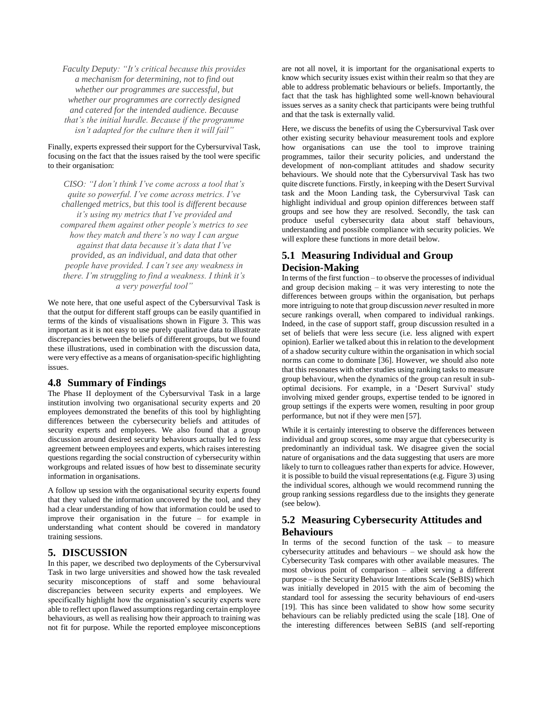*Faculty Deputy: "It's critical because this provides a mechanism for determining, not to find out whether our programmes are successful, but whether our programmes are correctly designed and catered for the intended audience. Because that's the initial hurdle. Because if the programme isn't adapted for the culture then it will fail"*

Finally, experts expressed their support for the Cybersurvival Task, focusing on the fact that the issues raised by the tool were specific to their organisation:

*CISO: "I don't think I've come across a tool that's quite so powerful. I've come across metrics. I've challenged metrics, but this tool is different because it's using my metrics that I've provided and compared them against other people's metrics to see how they match and there's no way I can argue against that data because it's data that I've provided, as an individual, and data that other people have provided. I can't see any weakness in there. I'm struggling to find a weakness. I think it's a very powerful tool"*

We note here, that one useful aspect of the Cybersurvival Task is that the output for different staff groups can be easily quantified in terms of the kinds of visualisations shown in Figure 3. This was important as it is not easy to use purely qualitative data to illustrate discrepancies between the beliefs of different groups, but we found these illustrations, used in combination with the discussion data, were very effective as a means of organisation-specific highlighting issues.

#### **4.8 Summary of Findings**

The Phase II deployment of the Cybersurvival Task in a large institution involving two organisational security experts and 20 employees demonstrated the benefits of this tool by highlighting differences between the cybersecurity beliefs and attitudes of security experts and employees. We also found that a group discussion around desired security behaviours actually led to *less* agreement between employees and experts, which raises interesting questions regarding the social construction of cybersecurity within workgroups and related issues of how best to disseminate security information in organisations.

A follow up session with the organisational security experts found that they valued the information uncovered by the tool, and they had a clear understanding of how that information could be used to improve their organisation in the future – for example in understanding what content should be covered in mandatory training sessions.

#### **5. DISCUSSION**

In this paper, we described two deployments of the Cybersurvival Task in two large universities and showed how the task revealed security misconceptions of staff and some behavioural discrepancies between security experts and employees. We specifically highlight how the organisation's security experts were able to reflect upon flawed assumptions regarding certain employee behaviours, as well as realising how their approach to training was not fit for purpose. While the reported employee misconceptions

are not all novel, it is important for the organisational experts to know which security issues exist within their realm so that they are able to address problematic behaviours or beliefs. Importantly, the fact that the task has highlighted some well-known behavioural issues serves as a sanity check that participants were being truthful and that the task is externally valid.

Here, we discuss the benefits of using the Cybersurvival Task over other existing security behaviour measurement tools and explore how organisations can use the tool to improve training programmes, tailor their security policies, and understand the development of non-compliant attitudes and shadow security behaviours. We should note that the Cybersurvival Task has two quite discrete functions. Firstly, in keeping with the Desert Survival task and the Moon Landing task, the Cybersurvival Task can highlight individual and group opinion differences between staff groups and see how they are resolved. Secondly, the task can produce useful cybersecurity data about staff behaviours, understanding and possible compliance with security policies. We will explore these functions in more detail below.

### **5.1 Measuring Individual and Group Decision-Making**

In terms of the first function – to observe the processes of individual and group decision making – it was very interesting to note the differences between groups within the organisation, but perhaps more intriguing to note that group discussion *never* resulted in more secure rankings overall, when compared to individual rankings. Indeed, in the case of support staff, group discussion resulted in a set of beliefs that were less secure (i.e. less aligned with expert opinion). Earlier we talked about this in relation to the development of a shadow security culture within the organisation in which social norms can come to dominate [36]. However, we should also note that this resonates with other studies using ranking tasks to measure group behaviour, when the dynamics of the group can result in suboptimal decisions. For example, in a 'Desert Survival' study involving mixed gender groups, expertise tended to be ignored in group settings if the experts were women, resulting in poor group performance, but not if they were men [57].

While it is certainly interesting to observe the differences between individual and group scores, some may argue that cybersecurity is predominantly an individual task. We disagree given the social nature of organisations and the data suggesting that users are more likely to turn to colleagues rather than experts for advice. However, it is possible to build the visual representations (e.g. Figure 3) using the individual scores, although we would recommend running the group ranking sessions regardless due to the insights they generate (see below).

### **5.2 Measuring Cybersecurity Attitudes and Behaviours**

In terms of the second function of the task – to measure cybersecurity attitudes and behaviours – we should ask how the Cybersecurity Task compares with other available measures. The most obvious point of comparison – albeit serving a different purpose – is the Security Behaviour Intentions Scale (SeBIS) which was initially developed in 2015 with the aim of becoming the standard tool for assessing the security behaviours of end-users [19]. This has since been validated to show how some security behaviours can be reliably predicted using the scale [18]. One of the interesting differences between SeBIS (and self-reporting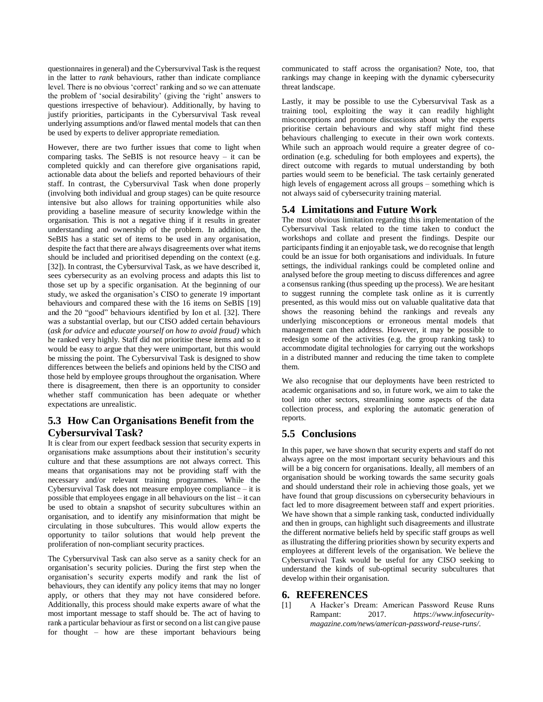questionnaires in general) and the Cybersurvival Task is the request in the latter to *rank* behaviours, rather than indicate compliance level. There is no obvious 'correct' ranking and so we can attenuate the problem of 'social desirability' (giving the 'right' answers to questions irrespective of behaviour). Additionally, by having to justify priorities, participants in the Cybersurvival Task reveal underlying assumptions and/or flawed mental models that can then be used by experts to deliver appropriate remediation.

However, there are two further issues that come to light when comparing tasks. The SeBIS is not resource heavy – it can be completed quickly and can therefore give organisations rapid, actionable data about the beliefs and reported behaviours of their staff. In contrast, the Cybersurvival Task when done properly (involving both individual and group stages) can be quite resource intensive but also allows for training opportunities while also providing a baseline measure of security knowledge within the organisation. This is not a negative thing if it results in greater understanding and ownership of the problem. In addition, the SeBIS has a static set of items to be used in any organisation, despite the fact that there are always disagreements over what items should be included and prioritised depending on the context (e.g. [32]). In contrast, the Cybersurvival Task, as we have described it, sees cybersecurity as an evolving process and adapts this list to those set up by a specific organisation. At the beginning of our study, we asked the organisation's CISO to generate 19 important behaviours and compared these with the 16 items on SeBIS [19] and the 20 "good" behaviours identified by Ion et al. [32]. There was a substantial overlap, but our CISO added certain behaviours (*ask for advice* and *educate yourself on how to avoid fraud)* which he ranked very highly*.* Staff did not prioritise these items and so it would be easy to argue that they were unimportant, but this would be missing the point. The Cybersurvival Task is designed to show differences between the beliefs and opinions held by the CISO and those held by employee groups throughout the organisation. Where there is disagreement, then there is an opportunity to consider whether staff communication has been adequate or whether expectations are unrealistic.

### **5.3 How Can Organisations Benefit from the Cybersurvival Task?**

It is clear from our expert feedback session that security experts in organisations make assumptions about their institution's security culture and that these assumptions are not always correct. This means that organisations may not be providing staff with the necessary and/or relevant training programmes. While the Cybersurvival Task does not measure employee compliance – it is possible that employees engage in all behaviours on the list – it can be used to obtain a snapshot of security subcultures within an organisation, and to identify any misinformation that might be circulating in those subcultures. This would allow experts the opportunity to tailor solutions that would help prevent the proliferation of non-compliant security practices.

The Cybersurvival Task can also serve as a sanity check for an organisation's security policies. During the first step when the organisation's security experts modify and rank the list of behaviours, they can identify any policy items that may no longer apply, or others that they may not have considered before. Additionally, this process should make experts aware of what the most important message to staff should be. The act of having to rank a particular behaviour as first or second on a list can give pause for thought – how are these important behaviours being

communicated to staff across the organisation? Note, too, that rankings may change in keeping with the dynamic cybersecurity threat landscape.

Lastly, it may be possible to use the Cybersurvival Task as a training tool, exploiting the way it can readily highlight misconceptions and promote discussions about why the experts prioritise certain behaviours and why staff might find these behaviours challenging to execute in their own work contexts. While such an approach would require a greater degree of coordination (e.g. scheduling for both employees and experts), the direct outcome with regards to mutual understanding by both parties would seem to be beneficial. The task certainly generated high levels of engagement across all groups – something which is not always said of cybersecurity training material.

### **5.4 Limitations and Future Work**

The most obvious limitation regarding this implementation of the Cybersurvival Task related to the time taken to conduct the workshops and collate and present the findings. Despite our participants finding it an enjoyable task, we do recognise that length could be an issue for both organisations and individuals. In future settings, the individual rankings could be completed online and analysed before the group meeting to discuss differences and agree a consensus ranking (thus speeding up the process). We are hesitant to suggest running the complete task online as it is currently presented, as this would miss out on valuable qualitative data that shows the reasoning behind the rankings and reveals any underlying misconceptions or erroneous mental models that management can then address. However, it may be possible to redesign some of the activities (e.g. the group ranking task) to accommodate digital technologies for carrying out the workshops in a distributed manner and reducing the time taken to complete them.

We also recognise that our deployments have been restricted to academic organisations and so, in future work, we aim to take the tool into other sectors, streamlining some aspects of the data collection process, and exploring the automatic generation of reports.

# **5.5 Conclusions**

In this paper, we have shown that security experts and staff do not always agree on the most important security behaviours and this will be a big concern for organisations. Ideally, all members of an organisation should be working towards the same security goals and should understand their role in achieving those goals, yet we have found that group discussions on cybersecurity behaviours in fact led to more disagreement between staff and expert priorities. We have shown that a simple ranking task, conducted individually and then in groups, can highlight such disagreements and illustrate the different normative beliefs held by specific staff groups as well as illustrating the differing priorities shown by security experts and employees at different levels of the organisation. We believe the Cybersurvival Task would be useful for any CISO seeking to understand the kinds of sub-optimal security subcultures that develop within their organisation.

### **6. REFERENCES**

[1] A Hacker's Dream: American Password Reuse Runs Rampant: 2017. *https://www.infosecuritymagazine.com/news/american-password-reuse-runs/*.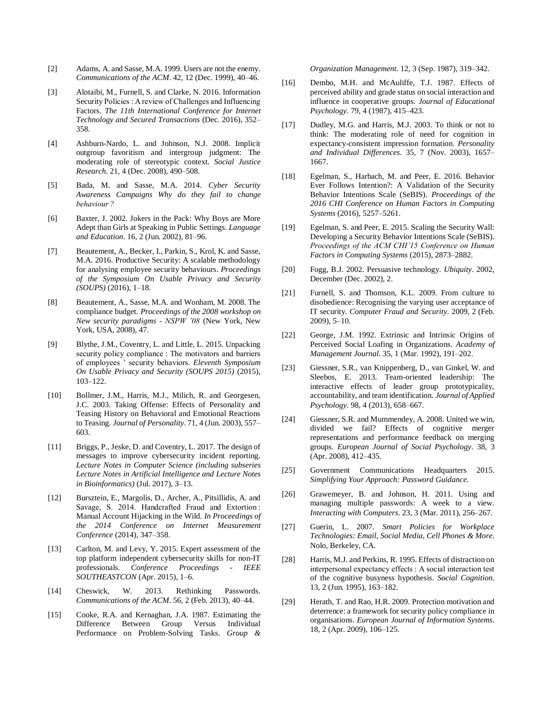- [2] Adams, A. and Sasse, M.A. 1999. Users are not the enemy. *Communications of the ACM*. 42, 12 (Dec. 1999), 40–46.
- [3] Alotaibi, M., Furnell, S. and Clarke, N. 2016. Information Security Policies : A review of Challenges and Influencing Factors. *The 11th International Conference for Internet Technology and Secured Transactions* (Dec. 2016), 352– 358.
- [4] Ashburn-Nardo, L. and Johnson, N.J. 2008. Implicit outgroup favoritism and intergroup judgment: The moderating role of stereotypic context. *Social Justice Research*. 21, 4 (Dec. 2008), 490–508.
- [5] Bada, M. and Sasse, M.A. 2014. *Cyber Security Awareness Campaigns Why do they fail to change behaviour ?*
- [6] Baxter, J. 2002. Jokers in the Pack: Why Boys are More Adept than Girls at Speaking in Public Settings. *Language and Education*. 16, 2 (Jun. 2002), 81–96.
- [7] Beautement, A., Becker, I., Parkin, S., Krol, K. and Sasse, M.A. 2016. Productive Security: A scalable methodology for analysing employee security behaviours. *Proceedings of the Symposium On Usable Privacy and Security (SOUPS)* (2016), 1–18.
- [8] Beautement, A., Sasse, M.A. and Wonham, M. 2008. The compliance budget. *Proceedings of the 2008 workshop on New security paradigms - NSPW '08* (New York, New York, USA, 2008), 47.
- [9] Blythe, J.M., Coventry, L. and Little, L. 2015. Unpacking security policy compliance : The motivators and barriers of employees ' security behaviors. *Eleventh Symposium On Usable Privacy and Security (SOUPS 2015)* (2015), 103–122.
- [10] Bollmer, J.M., Harris, M.J., Milich, R. and Georgesen, J.C. 2003. Taking Offense: Effects of Personality and Teasing History on Behavioral and Emotional Reactions to Teasing. *Journal of Personality*. 71, 4 (Jun. 2003), 557– 603.
- [11] Briggs, P., Jeske, D. and Coventry, L. 2017. The design of messages to improve cybersecurity incident reporting. *Lecture Notes in Computer Science (including subseries Lecture Notes in Artificial Intelligence and Lecture Notes in Bioinformatics)* (Jul. 2017), 3–13.
- [12] Bursztein, E., Margolis, D., Archer, A., Pitsillidis, A. and Savage, S. 2014. Handcrafted Fraud and Extortion : Manual Account Hijacking in the Wild. *In Proceedings of the 2014 Conference on Internet Measurement Conference* (2014), 347–358.
- [13] Carlton, M. and Levy, Y. 2015. Expert assessment of the top platform independent cybersecurity skills for non-IT professionals. *Conference Proceedings - IEEE SOUTHEASTCON* (Apr. 2015), 1–6.
- [14] Cheswick, W. 2013. Rethinking Passwords. *Communications of the ACM*. 56, 2 (Feb. 2013), 40–44.
- [15] Cooke, R.A. and Kernaghan, J.A. 1987. Estimating the Difference Between Group Versus Individual Performance on Problem-Solving Tasks. *Group &*

*Organization Management*. 12, 3 (Sep. 1987), 319–342.

- [16] Dembo, M.H. and McAuliffe, T.J. 1987. Effects of perceived ability and grade status on social interaction and influence in cooperative groups. *Journal of Educational Psychology*. 79, 4 (1987), 415–423.
- [17] Dudley, M.G. and Harris, M.J. 2003. To think or not to think: The moderating role of need for cognition in expectancy-consistent impression formation. *Personality and Individual Differences*. 35, 7 (Nov. 2003), 1657– 1667.
- [18] Egelman, S., Harbach, M. and Peer, E. 2016. Behavior Ever Follows Intention?: A Validation of the Security Behavior Intentions Scale (SeBIS). *Proceedings of the 2016 CHI Conference on Human Factors in Computing Systems* (2016), 5257–5261.
- [19] Egelman, S. and Peer, E. 2015. Scaling the Security Wall: Developing a Security Behavior Intentions Scale (SeBIS). *Proceedings of the ACM CHI'15 Conference on Human Factors in Computing Systems* (2015), 2873–2882.
- [20] Fogg, B.J. 2002. Persuasive technology. *Ubiquity*. 2002, December (Dec. 2002), 2.
- [21] Furnell, S. and Thomson, K.L. 2009. From culture to disobedience: Recognising the varying user acceptance of IT security. *Computer Fraud and Security*. 2009, 2 (Feb. 2009), 5–10.
- [22] George, J.M. 1992. Extrinsic and Intrinsic Origins of Perceived Social Loafing in Organizations. *Academy of Management Journal*. 35, 1 (Mar. 1992), 191–202.
- [23] Giessner, S.R., van Knippenberg, D., van Ginkel, W. and Sleebos, E. 2013. Team-oriented leadership: The interactive effects of leader group prototypicality, accountability, and team identification. *Journal of Applied Psychology*. 98, 4 (2013), 658–667.
- [24] Giessner, S.R. and Mummendey, A. 2008. United we win, divided we fail? Effects of cognitive merger representations and performance feedback on merging groups. *European Journal of Social Psychology*. 38, 3 (Apr. 2008), 412–435.
- [25] Government Communications Headquarters 2015. *Simplifying Your Approach: Password Guidance.*
- [26] Grawemeyer, B. and Johnson, H. 2011. Using and managing multiple passwords: A week to a view. *Interacting with Computers*. 23, 3 (Mar. 2011), 256–267.
- [27] Guerin, L. 2007. *Smart Policies for Workplace Technologies: Email, Social Media, Cell Phones & More*. Nolo, Berkeley, CA.
- [28] Harris, M.J. and Perkins, R. 1995. Effects of distraction on interpersonal expectancy effects : A social interaction test of the cognitive busyness hypothesis. *Social Cognition*. 13, 2 (Jun. 1995), 163–182.
- [29] Herath, T. and Rao, H.R. 2009. Protection motivation and deterrence: a framework for security policy compliance in organisations. *European Journal of Information Systems*. 18, 2 (Apr. 2009), 106–125.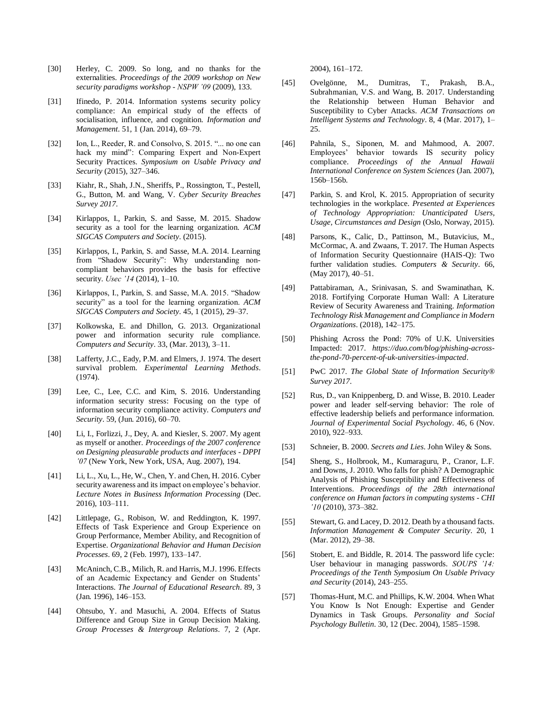- [30] Herley, C. 2009. So long, and no thanks for the externalities. *Proceedings of the 2009 workshop on New security paradigms workshop - NSPW '09* (2009), 133.
- [31] Ifinedo, P. 2014. Information systems security policy compliance: An empirical study of the effects of socialisation, influence, and cognition. *Information and Management*. 51, 1 (Jan. 2014), 69–79.
- [32] Ion, L., Reeder, R. and Consolvo, S. 2015. "... no one can hack my mind": Comparing Expert and Non-Expert Security Practices. *Symposium on Usable Privacy and Security* (2015), 327–346.
- [33] Kiahr, R., Shah, J.N., Sheriffs, P., Rossington, T., Pestell, G., Button, M. and Wang, V. *Cyber Security Breaches Survey 2017*.
- [34] Kirlappos, I., Parkin, S. and Sasse, M. 2015. Shadow security as a tool for the learning organization. *ACM SIGCAS Computers and Society*. (2015).
- [35] Kirlappos, I., Parkin, S. and Sasse, M.A. 2014. Learning from "Shadow Security": Why understanding noncompliant behaviors provides the basis for effective security. *Usec '14* (2014), 1–10.
- [36] Kirlappos, I., Parkin, S. and Sasse, M.A. 2015. "Shadow security" as a tool for the learning organization. *ACM SIGCAS Computers and Society*. 45, 1 (2015), 29–37.
- [37] Kolkowska, E. and Dhillon, G. 2013. Organizational power and information security rule compliance. *Computers and Security*. 33, (Mar. 2013), 3–11.
- [38] Lafferty, J.C., Eady, P.M. and Elmers, J. 1974. The desert survival problem. *Experimental Learning Methods*. (1974).
- [39] Lee, C., Lee, C.C. and Kim, S. 2016. Understanding information security stress: Focusing on the type of information security compliance activity. *Computers and Security*. 59, (Jun. 2016), 60–70.
- [40] Li, I., Forlizzi, J., Dey, A. and Kiesler, S. 2007. My agent as myself or another. *Proceedings of the 2007 conference on Designing pleasurable products and interfaces - DPPI '07* (New York, New York, USA, Aug. 2007), 194.
- [41] Li, L., Xu, L., He, W., Chen, Y. and Chen, H. 2016. Cyber security awareness and its impact on employee's behavior. *Lecture Notes in Business Information Processing* (Dec. 2016), 103–111.
- [42] Littlepage, G., Robison, W. and Reddington, K. 1997. Effects of Task Experience and Group Experience on Group Performance, Member Ability, and Recognition of Expertise. *Organizational Behavior and Human Decision Processes*. 69, 2 (Feb. 1997), 133–147.
- [43] McAninch, C.B., Milich, R. and Harris, M.J. 1996. Effects of an Academic Expectancy and Gender on Students' Interactions. *The Journal of Educational Research*. 89, 3 (Jan. 1996), 146–153.
- [44] Ohtsubo, Y. and Masuchi, A. 2004. Effects of Status Difference and Group Size in Group Decision Making. *Group Processes & Intergroup Relations*. 7, 2 (Apr.

2004), 161–172.

- [45] Ovelgönne, M., Dumitras, T., Prakash, B.A., Subrahmanian, V.S. and Wang, B. 2017. Understanding the Relationship between Human Behavior and Susceptibility to Cyber Attacks. *ACM Transactions on Intelligent Systems and Technology*. 8, 4 (Mar. 2017), 1– 25.
- [46] Pahnila, S., Siponen, M. and Mahmood, A. 2007. Employees' behavior towards IS security policy compliance. *Proceedings of the Annual Hawaii International Conference on System Sciences* (Jan. 2007), 156b–156b.
- [47] Parkin, S. and Krol, K. 2015. Appropriation of security technologies in the workplace. *Presented at Experiences of Technology Appropriation: Unanticipated Users, Usage, Circumstances and Design* (Oslo, Norway, 2015).
- [48] Parsons, K., Calic, D., Pattinson, M., Butavicius, M., McCormac, A. and Zwaans, T. 2017. The Human Aspects of Information Security Questionnaire (HAIS-Q): Two further validation studies. *Computers & Security*. 66, (May 2017), 40–51.
- [49] Pattabiraman, A., Srinivasan, S. and Swaminathan, K. 2018. Fortifying Corporate Human Wall: A Literature Review of Security Awareness and Training. *Information Technology Risk Management and Compliance in Modern Organizations*. (2018), 142–175.
- [50] Phishing Across the Pond: 70% of U.K. Universities Impacted: 2017. *https://duo.com/blog/phishing-acrossthe-pond-70-percent-of-uk-universities-impacted*.
- [51] PwC 2017. *The Global State of Information Security® Survey 2017*.
- [52] Rus, D., van Knippenberg, D. and Wisse, B. 2010. Leader power and leader self-serving behavior: The role of effective leadership beliefs and performance information. *Journal of Experimental Social Psychology*. 46, 6 (Nov. 2010), 922–933.
- [53] Schneier, B. 2000. *Secrets and Lies*. John Wiley & Sons.
- [54] Sheng, S., Holbrook, M., Kumaraguru, P., Cranor, L.F. and Downs, J. 2010. Who falls for phish? A Demographic Analysis of Phishing Susceptibility and Effectiveness of Interventions. *Proceedings of the 28th international conference on Human factors in computing systems - CHI '10* (2010), 373–382.
- [55] Stewart, G. and Lacey, D. 2012. Death by a thousand facts. *Information Management & Computer Security*. 20, 1 (Mar. 2012), 29–38.
- [56] Stobert, E. and Biddle, R. 2014. The password life cycle: User behaviour in managing passwords. *SOUPS '14: Proceedings of the Tenth Symposium On Usable Privacy and Security* (2014), 243–255.
- [57] Thomas-Hunt, M.C. and Phillips, K.W. 2004. When What You Know Is Not Enough: Expertise and Gender Dynamics in Task Groups. *Personality and Social Psychology Bulletin*. 30, 12 (Dec. 2004), 1585–1598.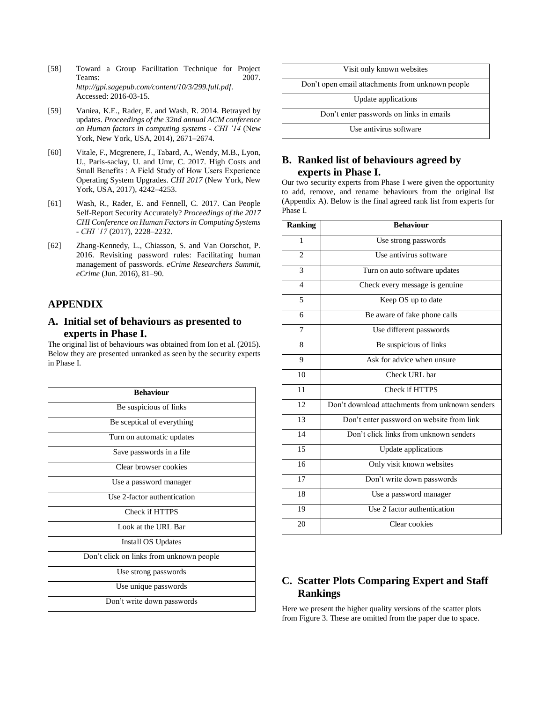- [58] Toward a Group Facilitation Technique for Project Teams: 2007. *http://gpi.sagepub.com/content/10/3/299.full.pdf*. Accessed: 2016-03-15.
- [59] Vaniea, K.E., Rader, E. and Wash, R. 2014. Betrayed by updates. *Proceedings of the 32nd annual ACM conference on Human factors in computing systems - CHI '14* (New York, New York, USA, 2014), 2671–2674.
- [60] Vitale, F., Mcgrenere, J., Tabard, A., Wendy, M.B., Lyon, U., Paris-saclay, U. and Umr, C. 2017. High Costs and Small Benefits : A Field Study of How Users Experience Operating System Upgrades. *CHI 2017* (New York, New York, USA, 2017), 4242–4253.
- [61] Wash, R., Rader, E. and Fennell, C. 2017. Can People Self-Report Security Accurately? *Proceedings of the 2017 CHI Conference on Human Factors in Computing Systems - CHI '17* (2017), 2228–2232.
- [62] Zhang-Kennedy, L., Chiasson, S. and Van Oorschot, P. 2016. Revisiting password rules: Facilitating human management of passwords. *eCrime Researchers Summit, eCrime* (Jun. 2016), 81–90.

# **APPENDIX**

#### **A. Initial set of behaviours as presented to experts in Phase I.**

The original list of behaviours was obtained from Ion et al. (2015). Below they are presented unranked as seen by the security experts in Phase I.

| <b>Behaviour</b>                         |
|------------------------------------------|
| Be suspicious of links                   |
| Be sceptical of everything               |
| Turn on automatic updates                |
| Save passwords in a file                 |
| Clear browser cookies                    |
| Use a password manager                   |
| Use 2-factor authentication              |
| Check if HTTPS                           |
| Look at the URL Bar                      |
| <b>Install OS Updates</b>                |
| Don't click on links from unknown people |
| Use strong passwords                     |
| Use unique passwords                     |
| Don't write down passwords               |



### **B. Ranked list of behaviours agreed by experts in Phase I.**

Our two security experts from Phase I were given the opportunity to add, remove, and rename behaviours from the original list (Appendix A). Below is the final agreed rank list from experts for Phase I.

| <b>Ranking</b> | <b>Behaviour</b>                                |
|----------------|-------------------------------------------------|
| 1              | Use strong passwords                            |
| $\overline{c}$ | Use antivirus software                          |
| 3              | Turn on auto software updates                   |
| $\overline{4}$ | Check every message is genuine.                 |
| 5              | Keep OS up to date                              |
| 6              | Be aware of fake phone calls                    |
| 7              | Use different passwords                         |
| 8              | Be suspicious of links                          |
| 9              | Ask for advice when unsure                      |
| 10             | Check URL bar                                   |
| 11             | Check if HTTPS                                  |
| 12             | Don't download attachments from unknown senders |
| 13             | Don't enter password on website from link       |
| 14             | Don't click links from unknown senders          |
| 15             | Update applications                             |
| 16             | Only visit known websites                       |
| 17             | Don't write down passwords                      |
| 18             | Use a password manager                          |
| 19             | Use 2 factor authentication                     |
| 20             | Clear cookies                                   |

# **C. Scatter Plots Comparing Expert and Staff Rankings**

Here we present the higher quality versions of the scatter plots from Figure 3. These are omitted from the paper due to space.